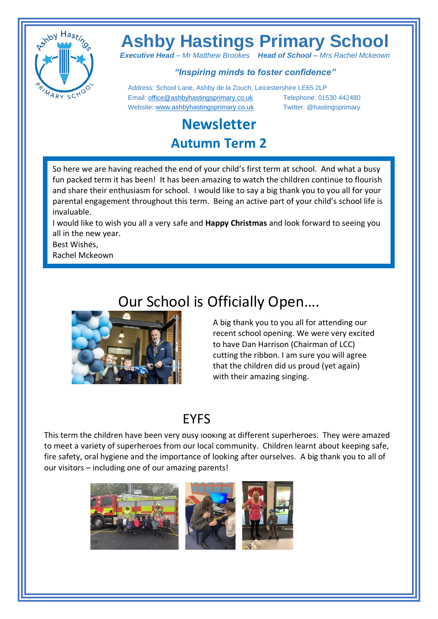

# **Ashby Hastings Primary School**

*Executive Head – Mr Matthew Brookes Head of School – Mrs Rachel Mckeown*

#### *"Inspiring minds to foster confidence"*

 Address: School Lane, Ashby de la Zouch, Leicestershire LE65 2LP Email[: office@ashbyhastingsprimary.co.uk](mailto:office@ashbyhastingsprimary.co.uk) Telephone: 01530 442480 Website[: www.ashbyhastingsprimary.co.uk](http://www.ashbyhastingsprimary.co.uk/) Twitter: @hastingsprimary

#### **Newsletter Autumn Term 2**

So here we are having reached the end of your child's first term at school. And what a busy fun packed term it has been! It has been amazing to watch the children continue to flourish and share their enthusiasm for school. I would like to say a big thank you to you all for your parental engagement throughout this term. Being an active part of your child's school life is invaluable.

I would like to wish you all a very safe and **Happy Christmas** and look forward to seeing you all in the new year.

Best Wishes,

Rachel Mckeown

## Our School is Officially Open….



A big thank you to you all for attending our recent school opening. We were very excited to have Dan Harrison (Chairman of LCC) cutting the ribbon. I am sure you will agree that the children did us proud (yet again) with their amazing singing.

### EYFS

This term the children have been very busy looking at different superheroes. They were amazed to meet a variety of superheroes from our local community. Children learnt about keeping safe, fire safety, oral hygiene and the importance of looking after ourselves. A big thank you to all of our visitors – including one of our amazing parents!

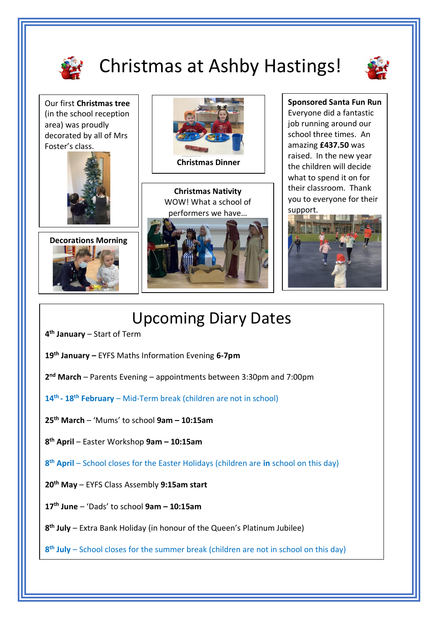

# Christmas at Ashby Hastings!



Our first **Christmas tree** (in the school reception area) was proudly decorated by all of Mrs Foster's class.







**Christmas Nativity** WOW! What a school of performers we have…



**Sponsored Santa Fun Run** Everyone did a fantastic job running around our school three times. An amazing **£437.50** was raised. In the new year the children will decide what to spend it on for their classroom. Thank you to everyone for their support.



## Upcoming Diary Dates

- **4 th January** Start of Term
- **19th January –** EYFS Maths Information Evening **6-7pm**
- **2 nd March** Parents Evening appointments between 3:30pm and 7:00pm
- **14th - 18th February** Mid-Term break (children are not in school)
- **25th March**  'Mums' to school **9am – 10:15am**
- **8 th April** Easter Workshop **9am – 10:15am**
- **8 th April** School closes for the Easter Holidays (children are **in** school on this day)
- **20th May** EYFS Class Assembly **9:15am start**
- **17th June** 'Dads' to school **9am – 10:15am**
- **8 th July** Extra Bank Holiday (in honour of the Queen's Platinum Jubilee)
- **8 th July** School closes for the summer break (children are not in school on this day)